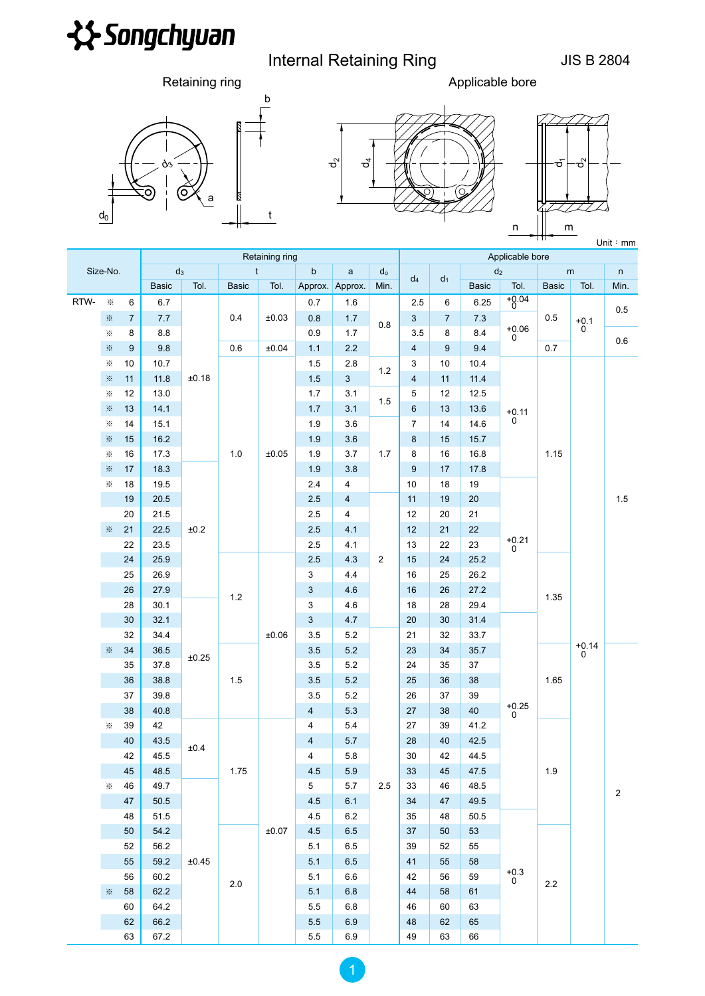

## Internal Retaining Ring **Internal Retaining Ring JIS B 2804**

t

Retaining ring **Applicable bore Applicable bore** 







| .<br>Unit $:$ mm |          |                |                |                |              |             |                         |                         |                |                  |                 |                |                                  |              |              |            |  |
|------------------|----------|----------------|----------------|----------------|--------------|-------------|-------------------------|-------------------------|----------------|------------------|-----------------|----------------|----------------------------------|--------------|--------------|------------|--|
|                  |          |                | Retaining ring |                |              |             |                         |                         |                |                  | Applicable bore |                |                                  |              |              |            |  |
| Size-No.         |          | $d_3$          |                | $\mathfrak{t}$ |              | $\mathsf b$ | $\mathsf{a}$            | $d_0$                   | $d_4$          | d <sub>1</sub>   |                 | d <sub>2</sub> |                                  | m            | $\mathsf{n}$ |            |  |
|                  |          |                | <b>Basic</b>   | Tol.           | <b>Basic</b> | Tol.        | Approx.                 | Approx.                 | Min.           |                  |                 | <b>Basic</b>   | Tol.                             | <b>Basic</b> | Tol.         | Min.       |  |
| RTW-             | $\times$ | 6              | 6.7            |                | 0.4          | ±0.03       | 0.7                     | 1.6                     | 0.8            | 2.5              | 6               | 6.25           | $^{+0.04}_{0}$<br>$^{+0.06}_{0}$ | 0.5          |              | 0.5        |  |
|                  | $\times$ | $\overline{7}$ |                | $7.7\,$<br>8.8 |              |             | 0.8                     | $1.7$                   |                | 3                | $\overline{7}$  | 7.3            |                                  |              | $+0.1$<br>0  |            |  |
|                  | $\times$ | 8              |                |                |              |             | 0.9                     | 1.7                     |                | 3.5              | 8               | 8.4            |                                  |              |              | 0.6        |  |
|                  | ☀        | 9              | 9.8            |                | 0.6          | ±0.04       | 1.1                     | $2.2\,$                 |                | 4                | 9               | 9.4            |                                  | 0.7          |              |            |  |
|                  | $\times$ | 10             | 10.7           | ±0.18          |              | ±0.05       | 1.5                     | 2.8                     | 1.2            | 3                | 10              | 10.4           | $+0.11$<br>0<br>$+0.21$<br>0     | 1.15         | $+0.14$<br>0 | 1.5        |  |
|                  | ☀        | 11             | 11.8           |                |              |             | 1.5                     | $\mathbf{3}$            |                | $\overline{4}$   | 11              | 11.4           |                                  |              |              |            |  |
|                  | $\times$ | 12             | 13.0           |                |              |             | 1.7                     | 3.1                     | 1.5            | 5                | 12              | 12.5           |                                  |              |              |            |  |
|                  | ☀        | 13             | 14.1           |                |              |             | $1.7$                   | 3.1                     |                | 6                | 13              | 13.6           |                                  |              |              |            |  |
|                  | $\times$ | 14             | 15.1           |                | 1.0          |             | 1.9                     | 3.6                     | 1.7            | $\overline{7}$   | 14              | 14.6           |                                  |              |              |            |  |
|                  | ☀        | 15             | 16.2           |                |              |             | 1.9                     | 3.6                     |                | 8                | 15              | 15.7           |                                  |              |              |            |  |
|                  | $\times$ | 16             | 17.3           |                |              |             | 1.9                     | 3.7                     |                | 8                | 16              | 16.8           |                                  |              |              |            |  |
|                  | ☀        | 17             | 18.3           |                |              |             | 1.9                     | 3.8                     |                | $\boldsymbol{9}$ | 17              | 17.8           |                                  |              |              |            |  |
|                  | $\times$ | 18             | 19.5           |                |              |             | 2.4                     | 4                       |                | 10               | 18              | 19             |                                  |              |              |            |  |
|                  |          | 19             | 20.5           |                | 1.2<br>1.5   |             | 2.5                     | $\overline{\mathbf{4}}$ | $\overline{2}$ | 11               | 19              | 20             |                                  |              |              |            |  |
|                  |          | 20             | 21.5           |                |              |             | 2.5                     | 4                       |                | 12               | 20              | 21             |                                  |              |              |            |  |
|                  | $\times$ | 21             | 22.5           | ±0.2           |              |             | 2.5                     | 4.1                     |                | 12               | 21              | 22             |                                  |              |              |            |  |
|                  |          | 22             | 23.5           |                |              |             | 2.5                     | 4.1                     |                | 13               | 22              | 23             |                                  |              |              |            |  |
|                  |          | 24             | 25.9           |                |              | ±0.06       | 2.5                     | 4.3                     |                | 15               | 24              | 25.2           |                                  | 1.35<br>1.65 |              |            |  |
|                  |          | 25             | 26.9           |                |              |             | 3                       | 4.4                     |                | 16               | 25              | 26.2           |                                  |              |              |            |  |
|                  |          | 26             | 27.9           |                |              |             | 3                       | 4.6                     |                | 16               | 26              | 27.2           |                                  |              |              |            |  |
|                  |          | 28             | 30.1           |                |              |             | 3                       | 4.6                     |                | 18               | 28              | 29.4           |                                  |              |              |            |  |
|                  |          | 30             | 32.1           |                |              |             | $\sqrt{3}$              | 4.7                     |                | 20               | 30              | 31.4           | $^{+0.25}_{0}$                   |              |              |            |  |
|                  |          | 32             | 34.4           |                |              |             | 3.5                     | $5.2\,$                 |                | 21               | 32              | 33.7           |                                  |              |              |            |  |
|                  | $\times$ | 34             | 36.5           | ±0.25          |              |             | $3.5\,$                 | $5.2\,$                 |                | 23               | 34              | 35.7           |                                  |              |              |            |  |
|                  |          | 35             | 37.8           |                |              |             | 3.5                     | 5.2                     |                | 24               | 35              | 37             |                                  |              |              |            |  |
|                  |          | 36             | 38.8           |                |              |             | 3.5                     | $5.2\,$                 |                | 25               | 36              | 38             |                                  |              |              |            |  |
|                  |          | 37             | 39.8           |                |              |             | 3.5                     | $5.2\,$                 |                | 26               | 37              | 39             |                                  |              |              |            |  |
|                  |          | 38             | 40.8           |                |              |             | $\overline{\mathbf{4}}$ | $5.3\,$                 |                | 27               | 38              | 40             |                                  |              |              |            |  |
|                  | $\times$ | 39             | 42             | ±0.4           |              |             | 4                       | $5.4\,$                 |                | $27\,$           | 39              | 41.2           |                                  |              |              |            |  |
|                  |          | 40             | 43.5           |                |              |             | $\overline{\mathbf{4}}$ | 5.7                     |                | 28               | 40              | 42.5           |                                  |              |              |            |  |
|                  |          | 42             | 45.5           |                |              |             | 4                       | 5.8                     |                | 30               | 42              | 44.5           |                                  | $1.9$        |              |            |  |
|                  |          | $-45$          | 48.5           |                | 1.75         | ±0.07       | 4.5                     | 5.9                     |                | 33 <sup>°</sup>  | 45              | 47.5           | $^{+0.3}_{0}$                    |              |              |            |  |
|                  | $\times$ | 46             | 49.7           |                |              |             | 5                       | 5.7                     | 2.5            | 33               | 46              | 48.5           |                                  |              |              | $\sqrt{2}$ |  |
|                  |          | 47             | $50.5$         | ±0.45          |              |             | 4.5                     | 6.1                     |                | 34               | 47              | 49.5           |                                  |              |              |            |  |
|                  |          | 48             | 51.5           |                |              |             | 4.5                     | $6.2\,$                 |                | 35               | 48              | 50.5           |                                  |              |              |            |  |
|                  |          | 50             | 54.2           |                |              |             | 4.5                     | $6.5\,$                 |                | 37               | 50              | 53             |                                  |              |              |            |  |
|                  |          | 52             | 56.2           |                |              |             | 5.1                     | 6.5                     |                | 39               | 52              | 55             |                                  |              |              |            |  |
|                  |          | 55             | 59.2           |                |              |             | 5.1                     | 6.5                     |                | 41               | 55              | 58             |                                  | 2.2          |              |            |  |
|                  |          | 56             | 60.2           |                | 2.0          |             | 5.1                     | 6.6                     |                | 42               | 56              | 59             |                                  |              |              |            |  |
|                  | $\times$ | 58             | 62.2           |                |              |             | 5.1                     | $6.8\,$                 |                | 44               | 58              | 61             |                                  |              |              |            |  |
|                  |          | 60             | 64.2           |                |              |             | $5.5\,$                 | $6.8\,$                 |                | 46               | 60              | 63             |                                  |              |              |            |  |
|                  |          | 62             | 66.2           |                |              |             | $5.5\,$                 | 6.9                     |                | 48               | 62              | 65             |                                  |              |              |            |  |
|                  |          | 63             | 67.2           |                |              |             | $5.5\,$                 | $6.9\,$                 |                | 49               | 63              | 66             |                                  |              |              |            |  |